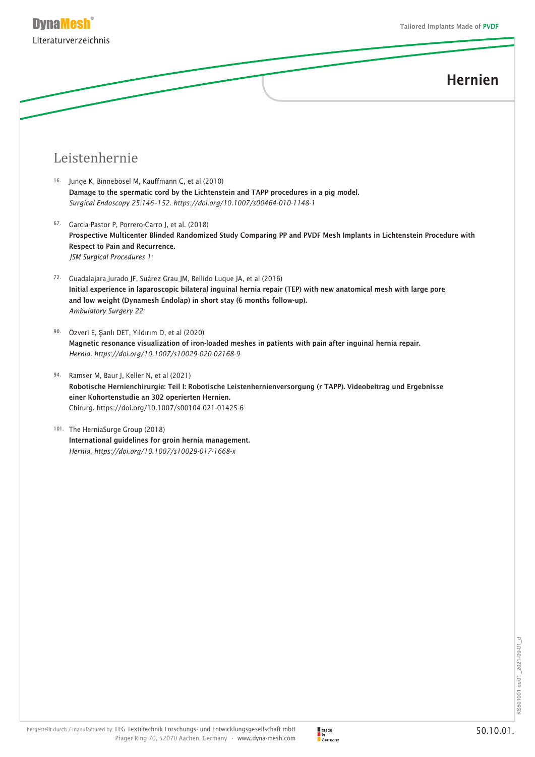

#### Leistenhernie

- 16. Junge K, Binnebösel M, Kauffmann C, et al (2010) Damage to the spermatic cord by the Lichtenstein and TAPP procedures in a pig model. *Surgical Endoscopy 25:146–152. https://doi.org/10.1007/s00464-010-1148-1*
- 67. Garcia-Pastor P, Porrero-Carro J, et al. (2018) Prospective Multicenter Blinded Randomized Study Comparing PP and PVDF Mesh Implants in Lichtenstein Procedure with Respect to Pain and Recurrence. *JSM Surgical Procedures 1:*
- 72. Guadalajara Jurado JF, Suárez Grau JM, Bellido Luque JA, et al (2016) Initial experience in laparoscopic bilateral inguinal hernia repair (TEP) with new anatomical mesh with large pore and low weight (Dynamesh Endolap) in short stay (6 months follow-up). *Ambulatory Surgery 22:*
- 90. Özveri E, Şanlı DET, Yıldırım D, et al (2020) Magnetic resonance visualization of iron-loaded meshes in patients with pain after inguinal hernia repair. *Hernia. https://doi.org/10.1007/s10029-020-02168-9*
- 94. Ramser M, Baur J, Keller N, et al (2021) Robotische Hernienchirurgie: Teil I: Robotische Leistenhernienversorgung (r TAPP). Videobeitrag und Ergebnisse einer Kohortenstudie an 302 operierten Hernien. Chirurg. https://doi.org/10.1007/s00104-021-01425-6
- 101. The HerniaSurge Group (2018) International guidelines for groin hernia management. *Hernia. https://doi.org/10.1007/s10029-017-1668-x*

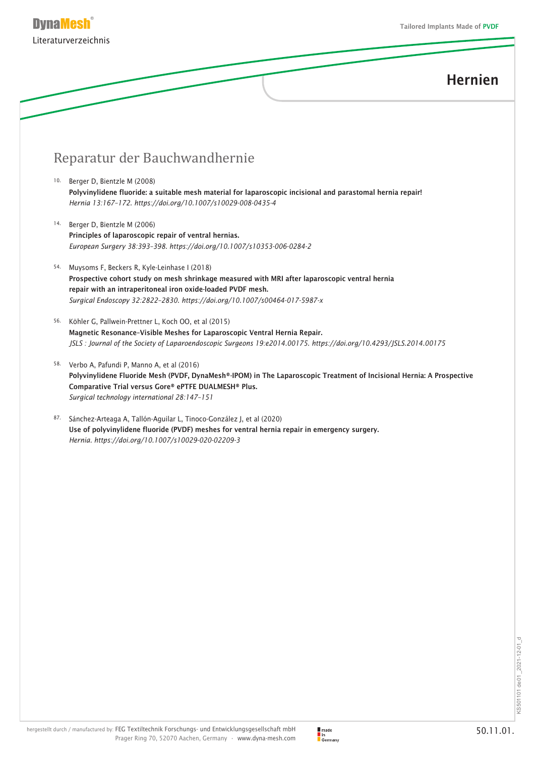# Reparatur der Bauchwandhernie

- 10. Berger D, Bientzle M (2008) Polyvinylidene fluoride: a suitable mesh material for laparoscopic incisional and parastomal hernia repair! *Hernia 13:167–172. https://doi.org/10.1007/s10029-008-0435-4*
- 14. Berger D, Bientzle M (2006) Principles of laparoscopic repair of ventral hernias. *European Surgery 38:393–398. https://doi.org/10.1007/s10353-006-0284-2*
- 54. Muysoms F, Beckers R, Kyle-Leinhase I (2018) Prospective cohort study on mesh shrinkage measured with MRI after laparoscopic ventral hernia repair with an intraperitoneal iron oxide-loaded PVDF mesh. *Surgical Endoscopy 32:2822–2830. https://doi.org/10.1007/s00464-017-5987-x*
- 56. Köhler G, Pallwein-Prettner L, Koch OO, et al (2015) Magnetic Resonance–Visible Meshes for Laparoscopic Ventral Hernia Repair. *JSLS : Journal of the Society of Laparoendoscopic Surgeons 19:e2014.00175. https://doi.org/10.4293/JSLS.2014.00175*
- 58. Verbo A, Pafundi P, Manno A, et al (2016) Polyvinylidene Fluoride Mesh (PVDF, DynaMesh®-IPOM) in The Laparoscopic Treatment of Incisional Hernia: A Prospective Comparative Trial versus Gore® ePTFE DUALMESH® Plus. *Surgical technology international 28:147–151*
- 87. Sánchez-Arteaga A, Tallón-Aguilar L, Tinoco-González J, et al (2020) Use of polyvinylidene fluoride (PVDF) meshes for ventral hernia repair in emergency surgery. *Hernia. https://doi.org/10.1007/s10029-020-02209-3*

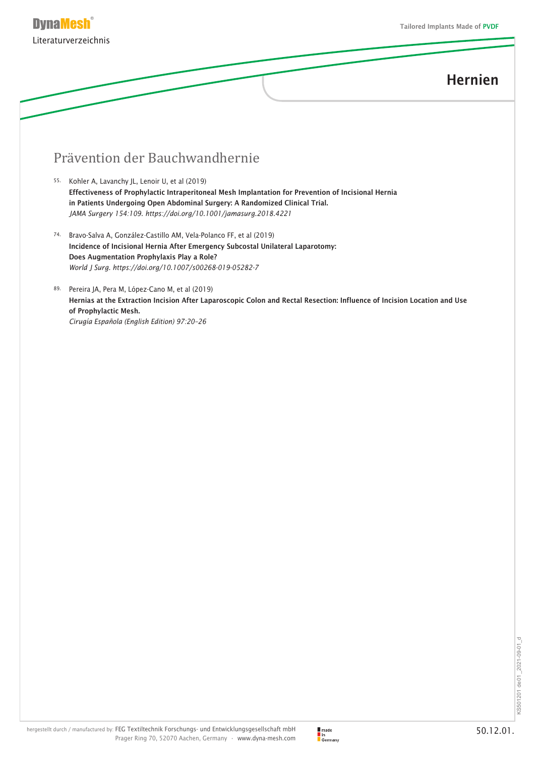

#### Prävention der Bauchwandhernie

- 55. Kohler A, Lavanchy JL, Lenoir U, et al (2019) Effectiveness of Prophylactic Intraperitoneal Mesh Implantation for Prevention of Incisional Hernia in Patients Undergoing Open Abdominal Surgery: A Randomized Clinical Trial. *JAMA Surgery 154:109. https://doi.org/10.1001/jamasurg.2018.4221*
- 74. Bravo-Salva A, González-Castillo AM, Vela-Polanco FF, et al (2019) Incidence of Incisional Hernia After Emergency Subcostal Unilateral Laparotomy: Does Augmentation Prophylaxis Play a Role? *World J Surg. https://doi.org/10.1007/s00268-019-05282-7*
- 89. Pereira JA, Pera M, López-Cano M, et al (2019) Hernias at the Extraction Incision After Laparoscopic Colon and Rectal Resection: Influence of Incision Location and Use of Prophylactic Mesh. *Cirugía Española (English Edition) 97:20–26*

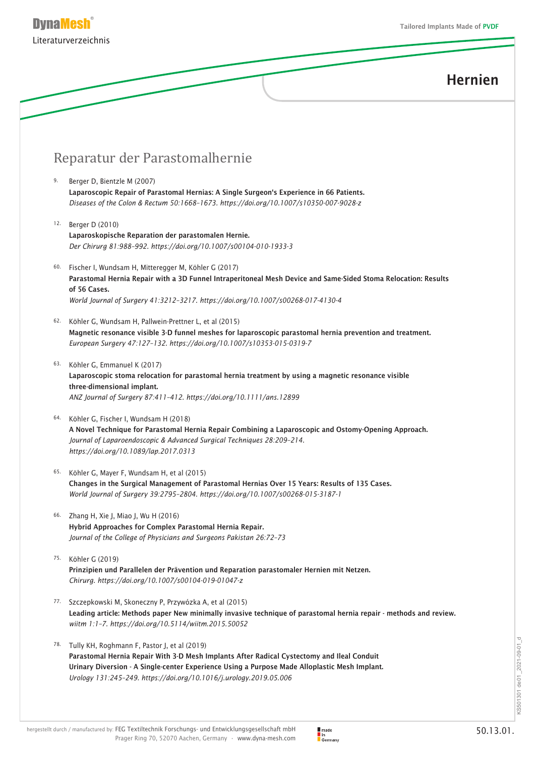

#### Reparatur der Parastomalhernie

- 9. Berger D, Bientzle M (2007) Laparoscopic Repair of Parastomal Hernias: A Single Surgeon's Experience in 66 Patients. *Diseases of the Colon & Rectum 50:1668–1673. https://doi.org/10.1007/s10350-007-9028-z*
- 12. Berger D (2010) Laparoskopische Reparation der parastomalen Hernie. *Der Chirurg 81:988–992. https://doi.org/10.1007/s00104-010-1933-3*
- 60. Fischer I, Wundsam H, Mitteregger M, Köhler G (2017) Parastomal Hernia Repair with a 3D Funnel Intraperitoneal Mesh Device and Same-Sided Stoma Relocation: Results of 56 Cases. *World Journal of Surgery 41:3212–3217. https://doi.org/10.1007/s00268-017-4130-4*
- 62. Köhler G, Wundsam H, Pallwein-Prettner L, et al (2015) Magnetic resonance visible 3-D funnel meshes for laparoscopic parastomal hernia prevention and treatment. *European Surgery 47:127–132. https://doi.org/10.1007/s10353-015-0319-7*
- 63. Köhler G, Emmanuel K (2017) Laparoscopic stoma relocation for parastomal hernia treatment by using a magnetic resonance visible three-dimensional implant. *ANZ Journal of Surgery 87:411–412. https://doi.org/10.1111/ans.12899*
- 64. Köhler G, Fischer I, Wundsam H (2018) A Novel Technique for Parastomal Hernia Repair Combining a Laparoscopic and Ostomy-Opening Approach. *Journal of Laparoendoscopic & Advanced Surgical Techniques 28:209–214. https://doi.org/10.1089/lap.2017.0313*
- 65. Köhler G, Mayer F, Wundsam H, et al (2015) Changes in the Surgical Management of Parastomal Hernias Over 15 Years: Results of 135 Cases. *World Journal of Surgery 39:2795–2804. https://doi.org/10.1007/s00268-015-3187-1*
- 66. Zhang H, Xie J, Miao J, Wu H (2016) Hybrid Approaches for Complex Parastomal Hernia Repair. *Journal of the College of Physicians and Surgeons Pakistan 26:72–73*
- 75. Köhler G (2019) Prinzipien und Parallelen der Prävention und Reparation parastomaler Hernien mit Netzen. *Chirurg. https://doi.org/10.1007/s00104-019-01047-z*
- 77. Szczepkowski M, Skoneczny P, Przywózka A, et al (2015) Leading article: Methods paper New minimally invasive technique of parastomal hernia repair - methods and review. *wiitm 1:1–7. https://doi.org/10.5114/wiitm.2015.50052*
- 78. Tully KH, Roghmann F, Pastor J, et al (2019) Parastomal Hernia Repair With 3-D Mesh Implants After Radical Cystectomy and Ileal Conduit Urinary Diversion - A Single-center Experience Using a Purpose Made Alloplastic Mesh Implant. *Urology 131:245–249. https://doi.org/10.1016/j.urology.2019.05.006*

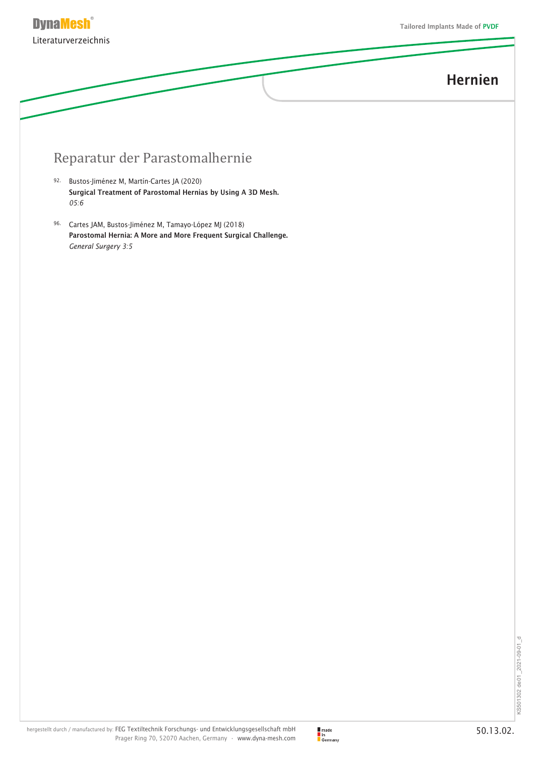

# Reparatur der Parastomalhernie

- 92. Bustos-Jiménez M, Martín-Cartes JA (2020) Surgical Treatment of Parostomal Hernias by Using A 3D Mesh. *05:6*
- 96. Cartes JAM, Bustos-Jiménez M, Tamayo-López MJ (2018) Parostomal Hernia: A More and More Frequent Surgical Challenge. *General Surgery 3:5*

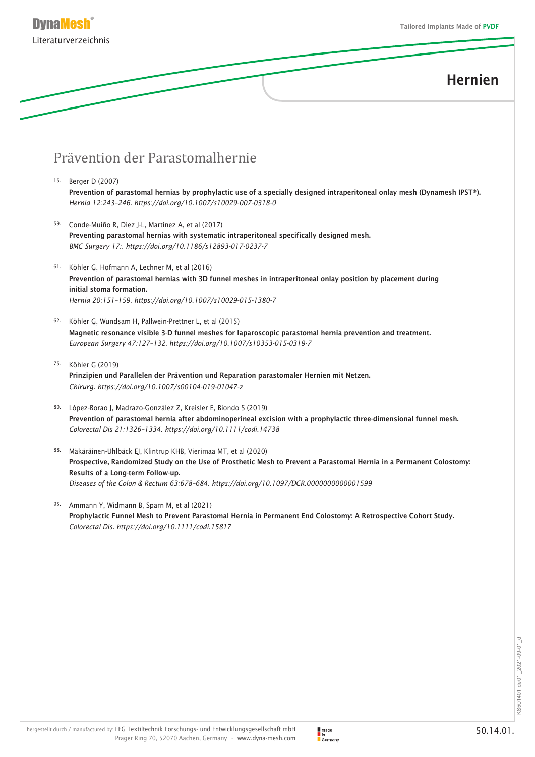# Prävention der Parastomalhernie

- 15. Berger D (2007) Prevention of parastomal hernias by prophylactic use of a specially designed intraperitoneal onlay mesh (Dynamesh IPST®). *Hernia 12:243–246. https://doi.org/10.1007/s10029-007-0318-0*
- 59. Conde-Muíño R, Díez J-L, Martínez A, et al (2017) Preventing parastomal hernias with systematic intraperitoneal specifically designed mesh. *BMC Surgery 17:. https://doi.org/10.1186/s12893-017-0237-7*
- 61. Köhler G, Hofmann A, Lechner M, et al (2016) Prevention of parastomal hernias with 3D funnel meshes in intraperitoneal onlay position by placement during initial stoma formation. *Hernia 20:151–159. https://doi.org/10.1007/s10029-015-1380-7*
- 62. Köhler G, Wundsam H, Pallwein-Prettner L, et al (2015) Magnetic resonance visible 3-D funnel meshes for laparoscopic parastomal hernia prevention and treatment. *European Surgery 47:127–132. https://doi.org/10.1007/s10353-015-0319-7*
- 75. Köhler G (2019) Prinzipien und Parallelen der Prävention und Reparation parastomaler Hernien mit Netzen. *Chirurg. https://doi.org/10.1007/s00104-019-01047-z*
- 80. López-Borao J, Madrazo-González Z, Kreisler E, Biondo S (2019) Prevention of parastomal hernia after abdominoperineal excision with a prophylactic three-dimensional funnel mesh. *Colorectal Dis 21:1326–1334. https://doi.org/10.1111/codi.14738*
- 88. Mäkäräinen-Uhlbäck EJ, Klintrup KHB, Vierimaa MT, et al (2020) Prospective, Randomized Study on the Use of Prosthetic Mesh to Prevent a Parastomal Hernia in a Permanent Colostomy: Results of a Long-term Follow-up. *Diseases of the Colon & Rectum 63:678–684. https://doi.org/10.1097/DCR.0000000000001599*
- 95. Ammann Y, Widmann B, Sparn M, et al (2021) Prophylactic Funnel Mesh to Prevent Parastomal Hernia in Permanent End Colostomy: A Retrospective Cohort Study. *Colorectal Dis. https://doi.org/10.1111/codi.15817*